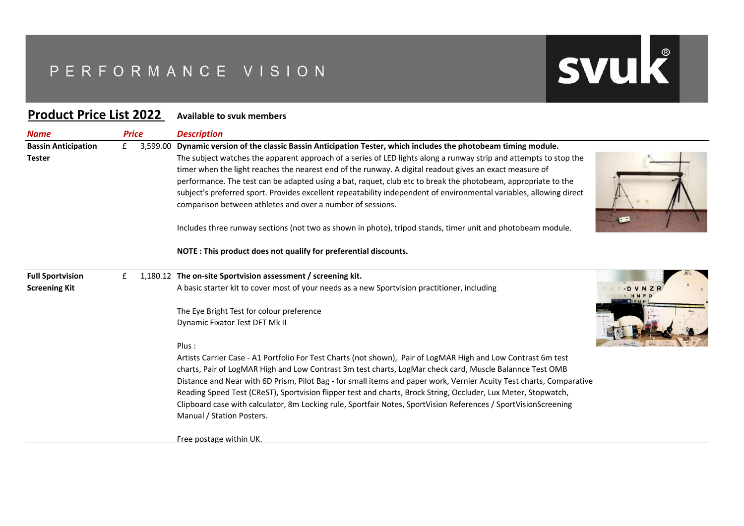## PERFORMANCE VISION

## **Product Price List 2022 Available to svuk members**

| <b>Name</b>                                 | <b>Price</b> |          | <b>Description</b>                                                                                                                                                                                                                                                                                                                                                                                                                                                                                                                                                                                                                           |  |
|---------------------------------------------|--------------|----------|----------------------------------------------------------------------------------------------------------------------------------------------------------------------------------------------------------------------------------------------------------------------------------------------------------------------------------------------------------------------------------------------------------------------------------------------------------------------------------------------------------------------------------------------------------------------------------------------------------------------------------------------|--|
| <b>Bassin Anticipation</b><br><b>Tester</b> | £            | 3,599.00 | Dynamic version of the classic Bassin Anticipation Tester, which includes the photobeam timing module.<br>The subject watches the apparent approach of a series of LED lights along a runway strip and attempts to stop the<br>timer when the light reaches the nearest end of the runway. A digital readout gives an exact measure of<br>performance. The test can be adapted using a bat, raquet, club etc to break the photobeam, appropriate to the<br>subject's preferred sport. Provides excellent repeatability independent of environmental variables, allowing direct<br>comparison between athletes and over a number of sessions. |  |
|                                             |              |          | Includes three runway sections (not two as shown in photo), tripod stands, timer unit and photobeam module.                                                                                                                                                                                                                                                                                                                                                                                                                                                                                                                                  |  |
|                                             |              |          | NOTE: This product does not qualify for preferential discounts.                                                                                                                                                                                                                                                                                                                                                                                                                                                                                                                                                                              |  |
| <b>Full Sportvision</b>                     | £            |          | 1,180.12 The on-site Sportvision assessment / screening kit.                                                                                                                                                                                                                                                                                                                                                                                                                                                                                                                                                                                 |  |
| <b>Screening Kit</b>                        |              |          | A basic starter kit to cover most of your needs as a new Sportvision practitioner, including                                                                                                                                                                                                                                                                                                                                                                                                                                                                                                                                                 |  |
|                                             |              |          | The Eye Bright Test for colour preference                                                                                                                                                                                                                                                                                                                                                                                                                                                                                                                                                                                                    |  |
|                                             |              |          | Dynamic Fixator Test DFT Mk II                                                                                                                                                                                                                                                                                                                                                                                                                                                                                                                                                                                                               |  |
|                                             |              |          | Plus:                                                                                                                                                                                                                                                                                                                                                                                                                                                                                                                                                                                                                                        |  |
|                                             |              |          | Artists Carrier Case - A1 Portfolio For Test Charts (not shown), Pair of LogMAR High and Low Contrast 6m test                                                                                                                                                                                                                                                                                                                                                                                                                                                                                                                                |  |
|                                             |              |          | charts, Pair of LogMAR High and Low Contrast 3m test charts, LogMar check card, Muscle Balannce Test OMB                                                                                                                                                                                                                                                                                                                                                                                                                                                                                                                                     |  |
|                                             |              |          | Distance and Near with 6D Prism, Pilot Bag - for small items and paper work, Vernier Acuity Test charts, Comparative                                                                                                                                                                                                                                                                                                                                                                                                                                                                                                                         |  |
|                                             |              |          | Reading Speed Test (CReST), Sportvision flipper test and charts, Brock String, Occluder, Lux Meter, Stopwatch,<br>Clipboard case with calculator, 8m Locking rule, Sportfair Notes, SportVision References / SportVisionScreening                                                                                                                                                                                                                                                                                                                                                                                                            |  |
|                                             |              |          | Manual / Station Posters.                                                                                                                                                                                                                                                                                                                                                                                                                                                                                                                                                                                                                    |  |
|                                             |              |          | Free postage within UK.                                                                                                                                                                                                                                                                                                                                                                                                                                                                                                                                                                                                                      |  |

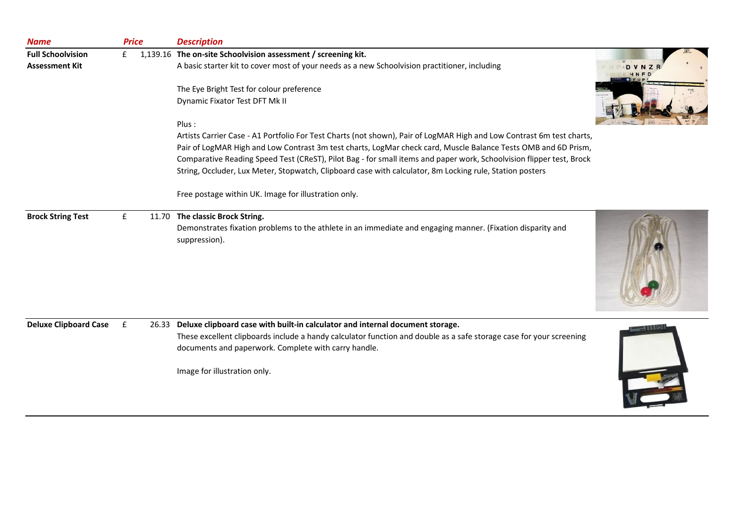| <b>Name</b>                  | <b>Price</b> |       | <b>Description</b>                                                                                                          |  |
|------------------------------|--------------|-------|-----------------------------------------------------------------------------------------------------------------------------|--|
| <b>Full Schoolvision</b>     | £            |       | 1,139.16 The on-site Schoolvision assessment / screening kit.                                                               |  |
| <b>Assessment Kit</b>        |              |       | A basic starter kit to cover most of your needs as a new Schoolvision practitioner, including                               |  |
|                              |              |       | The Eye Bright Test for colour preference                                                                                   |  |
|                              |              |       | Dynamic Fixator Test DFT Mk II                                                                                              |  |
|                              |              |       | Plus:                                                                                                                       |  |
|                              |              |       | Artists Carrier Case - A1 Portfolio For Test Charts (not shown), Pair of LogMAR High and Low Contrast 6m test charts,       |  |
|                              |              |       | Pair of LogMAR High and Low Contrast 3m test charts, LogMar check card, Muscle Balance Tests OMB and 6D Prism,              |  |
|                              |              |       | Comparative Reading Speed Test (CReST), Pilot Bag - for small items and paper work, Schoolvision flipper test, Brock        |  |
|                              |              |       | String, Occluder, Lux Meter, Stopwatch, Clipboard case with calculator, 8m Locking rule, Station posters                    |  |
|                              |              |       | Free postage within UK. Image for illustration only.                                                                        |  |
| <b>Brock String Test</b>     | £            | 11.70 | The classic Brock String.                                                                                                   |  |
|                              |              |       | Demonstrates fixation problems to the athlete in an immediate and engaging manner. (Fixation disparity and<br>suppression). |  |
| <b>Deluxe Clipboard Case</b> | £            | 26.33 | Deluxe clipboard case with built-in calculator and internal document storage.                                               |  |
|                              |              |       | These excellent clipboards include a handy calculator function and double as a safe storage case for your screening         |  |
|                              |              |       | documents and paperwork. Complete with carry handle.                                                                        |  |
|                              |              |       | Image for illustration only.                                                                                                |  |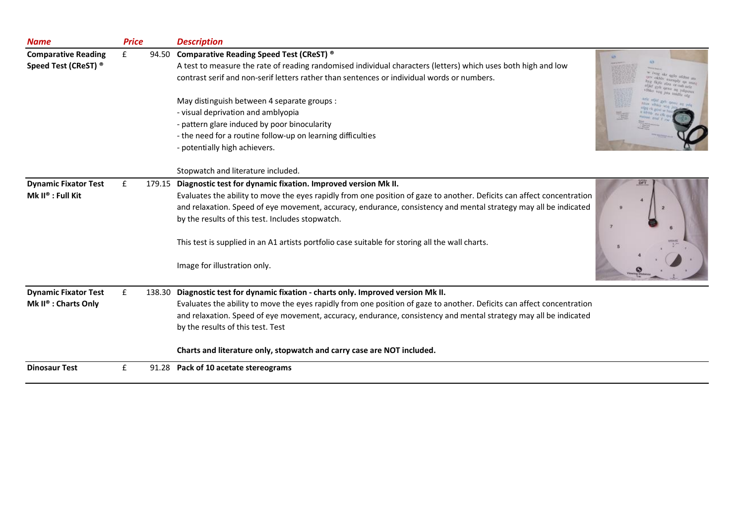| <b>Name</b>                      | <b>Price</b> |       | <b>Description</b>                                                                                                     |
|----------------------------------|--------------|-------|------------------------------------------------------------------------------------------------------------------------|
| <b>Comparative Reading</b>       | £            |       | 94.50 Comparative Reading Speed Test (CReST) ®                                                                         |
| Speed Test (CReST) ®             |              |       | A test to measure the rate of reading randomised individual characters (letters) which uses both high and low          |
|                                  |              |       | contrast serif and non-serif letters rather than sentences or individual words or numbers.                             |
|                                  |              |       | May distinguish between 4 separate groups :                                                                            |
|                                  |              |       | - visual deprivation and amblyopia                                                                                     |
|                                  |              |       | - pattern glare induced by poor binocularity                                                                           |
|                                  |              |       | - the need for a routine follow-up on learning difficulties                                                            |
|                                  |              |       | - potentially high achievers.                                                                                          |
|                                  |              |       | Stopwatch and literature included.                                                                                     |
| <b>Dynamic Fixator Test</b>      | £            |       | 179.15 Diagnostic test for dynamic fixation. Improved version Mk II.                                                   |
| Mk II® : Full Kit                |              |       | Evaluates the ability to move the eyes rapidly from one position of gaze to another. Deficits can affect concentration |
|                                  |              |       | and relaxation. Speed of eye movement, accuracy, endurance, consistency and mental strategy may all be indicated       |
|                                  |              |       | by the results of this test. Includes stopwatch.                                                                       |
|                                  |              |       | This test is supplied in an A1 artists portfolio case suitable for storing all the wall charts.                        |
|                                  |              |       | Image for illustration only.                                                                                           |
| <b>Dynamic Fixator Test</b>      | £            |       | 138.30 Diagnostic test for dynamic fixation - charts only. Improved version Mk II.                                     |
| Mk II <sup>®</sup> : Charts Only |              |       | Evaluates the ability to move the eyes rapidly from one position of gaze to another. Deficits can affect concentration |
|                                  |              |       | and relaxation. Speed of eye movement, accuracy, endurance, consistency and mental strategy may all be indicated       |
|                                  |              |       | by the results of this test. Test                                                                                      |
|                                  |              |       | Charts and literature only, stopwatch and carry case are NOT included.                                                 |
| <b>Dinosaur Test</b>             | £            | 91.28 | Pack of 10 acetate stereograms                                                                                         |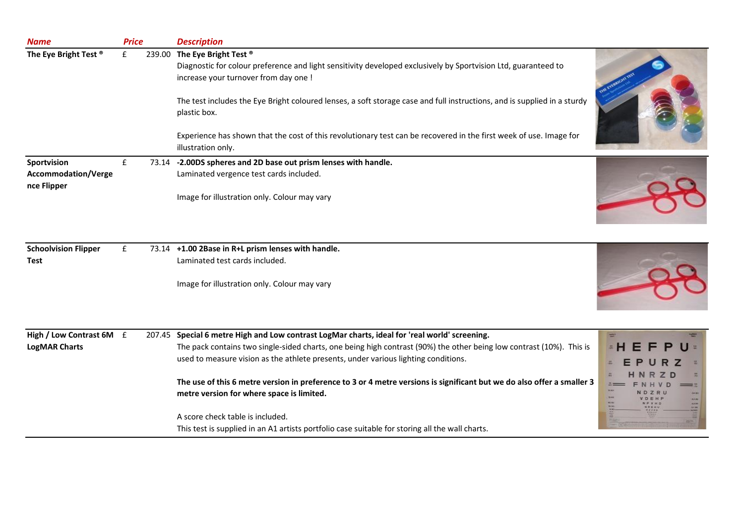| <b>Name</b>                                | <b>Price</b> | <b>Description</b>                                                                                                                                                                      |      |
|--------------------------------------------|--------------|-----------------------------------------------------------------------------------------------------------------------------------------------------------------------------------------|------|
| The Eye Bright Test <sup>®</sup>           | £            | 239.00 The Eye Bright Test ®<br>Diagnostic for colour preference and light sensitivity developed exclusively by Sportvision Ltd, guaranteed to<br>increase your turnover from day one ! |      |
|                                            |              | The test includes the Eye Bright coloured lenses, a soft storage case and full instructions, and is supplied in a sturdy<br>plastic box.                                                |      |
|                                            |              | Experience has shown that the cost of this revolutionary test can be recovered in the first week of use. Image for<br>illustration only.                                                |      |
| Sportvision                                | £            | 73.14 -2.00DS spheres and 2D base out prism lenses with handle.                                                                                                                         |      |
| <b>Accommodation/Verge</b>                 |              | Laminated vergence test cards included.                                                                                                                                                 |      |
| nce Flipper                                |              | Image for illustration only. Colour may vary                                                                                                                                            |      |
| <b>Schoolvision Flipper</b><br><b>Test</b> | £            | 73.14 +1.00 2Base in R+L prism lenses with handle.<br>Laminated test cards included.<br>Image for illustration only. Colour may vary                                                    |      |
|                                            |              |                                                                                                                                                                                         |      |
| High / Low Contrast 6M £                   |              | 207.45 Special 6 metre High and Low contrast LogMar charts, ideal for 'real world' screening.                                                                                           |      |
| <b>LogMAR Charts</b>                       |              | The pack contains two single-sided charts, one being high contrast (90%) the other being low contrast (10%). This is                                                                    |      |
|                                            |              | used to measure vision as the athlete presents, under various lighting conditions.                                                                                                      |      |
|                                            |              | The use of this 6 metre version in preference to 3 or 4 metre versions is significant but we do also offer a smaller 3<br>metre version for where space is limited.                     | tim. |
|                                            |              | A score check table is included.                                                                                                                                                        |      |
|                                            |              | This test is supplied in an A1 artists portfolio case suitable for storing all the wall charts.                                                                                         |      |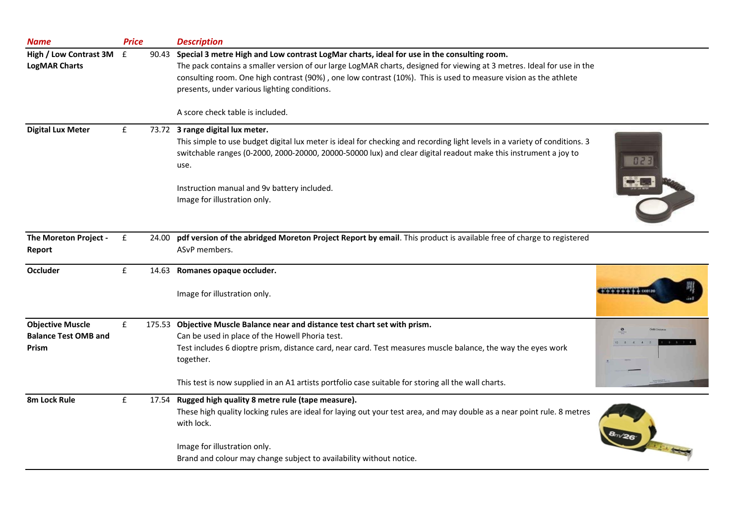| <b>Name</b>                                                     | <b>Price</b> |       | <b>Description</b>                                                                                                                                                                                                                                                                                                                                                       |                      |
|-----------------------------------------------------------------|--------------|-------|--------------------------------------------------------------------------------------------------------------------------------------------------------------------------------------------------------------------------------------------------------------------------------------------------------------------------------------------------------------------------|----------------------|
| High / Low Contrast 3M                                          | E            |       | 90.43 Special 3 metre High and Low contrast LogMar charts, ideal for use in the consulting room.                                                                                                                                                                                                                                                                         |                      |
| <b>LogMAR Charts</b>                                            |              |       | The pack contains a smaller version of our large LogMAR charts, designed for viewing at 3 metres. Ideal for use in the<br>consulting room. One high contrast (90%), one low contrast (10%). This is used to measure vision as the athlete<br>presents, under various lighting conditions.                                                                                |                      |
|                                                                 |              |       | A score check table is included.                                                                                                                                                                                                                                                                                                                                         |                      |
| <b>Digital Lux Meter</b>                                        | £            |       | 73.72 3 range digital lux meter.<br>This simple to use budget digital lux meter is ideal for checking and recording light levels in a variety of conditions. 3<br>switchable ranges (0-2000, 2000-20000, 20000-50000 lux) and clear digital readout make this instrument a joy to<br>use.<br>Instruction manual and 9v battery included.<br>Image for illustration only. |                      |
| The Moreton Project -<br>Report                                 | £            | 24.00 | pdf version of the abridged Moreton Project Report by email. This product is available free of charge to registered<br>ASvP members.                                                                                                                                                                                                                                     |                      |
| <b>Occluder</b>                                                 | ${\bf f}$    | 14.63 | Romanes opaque occluder.                                                                                                                                                                                                                                                                                                                                                 |                      |
|                                                                 |              |       | Image for illustration only.                                                                                                                                                                                                                                                                                                                                             |                      |
| <b>Objective Muscle</b><br><b>Balance Test OMB and</b><br>Prism | £            |       | 175.53 Objective Muscle Balance near and distance test chart set with prism.<br>Can be used in place of the Howell Phoria test.<br>Test includes 6 dioptre prism, distance card, near card. Test measures muscle balance, the way the eyes work<br>together.                                                                                                             |                      |
|                                                                 |              |       | This test is now supplied in an A1 artists portfolio case suitable for storing all the wall charts.                                                                                                                                                                                                                                                                      |                      |
| 8m Lock Rule                                                    | £            |       | 17.54 Rugged high quality 8 metre rule (tape measure).<br>These high quality locking rules are ideal for laying out your test area, and may double as a near point rule. 8 metres<br>with lock.<br>Image for illustration only.                                                                                                                                          | <b>CENTRAL STATE</b> |
|                                                                 |              |       | Brand and colour may change subject to availability without notice.                                                                                                                                                                                                                                                                                                      |                      |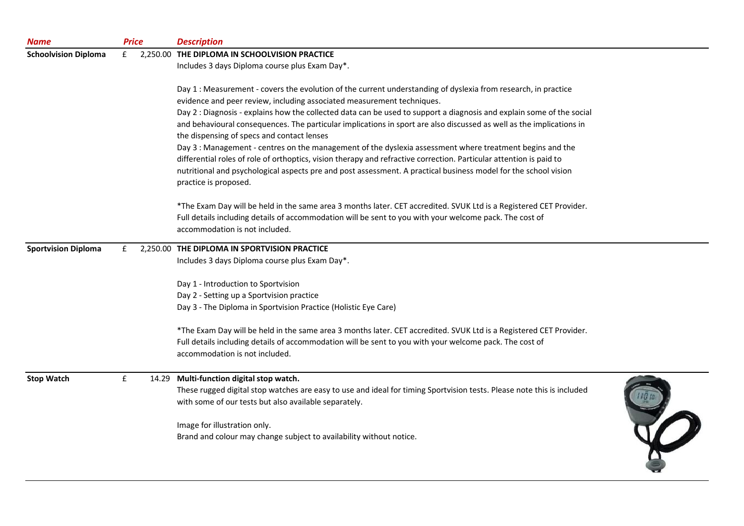| <b>Name</b>                 |   | <b>Price</b> | <b>Description</b>                                                                                                                       |  |
|-----------------------------|---|--------------|------------------------------------------------------------------------------------------------------------------------------------------|--|
| <b>Schoolvision Diploma</b> | £ |              | 2,250.00 THE DIPLOMA IN SCHOOLVISION PRACTICE                                                                                            |  |
|                             |   |              | Includes 3 days Diploma course plus Exam Day*.                                                                                           |  |
|                             |   |              | Day 1 : Measurement - covers the evolution of the current understanding of dyslexia from research, in practice                           |  |
|                             |   |              | evidence and peer review, including associated measurement techniques.                                                                   |  |
|                             |   |              | Day 2 : Diagnosis - explains how the collected data can be used to support a diagnosis and explain some of the social                    |  |
|                             |   |              | and behavioural consequences. The particular implications in sport are also discussed as well as the implications in                     |  |
|                             |   |              | the dispensing of specs and contact lenses                                                                                               |  |
|                             |   |              | Day 3 : Management - centres on the management of the dyslexia assessment where treatment begins and the                                 |  |
|                             |   |              | differential roles of role of orthoptics, vision therapy and refractive correction. Particular attention is paid to                      |  |
|                             |   |              | nutritional and psychological aspects pre and post assessment. A practical business model for the school vision<br>practice is proposed. |  |
|                             |   |              | *The Exam Day will be held in the same area 3 months later. CET accredited. SVUK Ltd is a Registered CET Provider.                       |  |
|                             |   |              | Full details including details of accommodation will be sent to you with your welcome pack. The cost of                                  |  |
|                             |   |              | accommodation is not included.                                                                                                           |  |
| <b>Sportvision Diploma</b>  | £ |              | 2,250.00 THE DIPLOMA IN SPORTVISION PRACTICE                                                                                             |  |
|                             |   |              | Includes 3 days Diploma course plus Exam Day*.                                                                                           |  |
|                             |   |              | Day 1 - Introduction to Sportvision                                                                                                      |  |
|                             |   |              | Day 2 - Setting up a Sportvision practice                                                                                                |  |
|                             |   |              | Day 3 - The Diploma in Sportvision Practice (Holistic Eye Care)                                                                          |  |
|                             |   |              | *The Exam Day will be held in the same area 3 months later. CET accredited. SVUK Ltd is a Registered CET Provider.                       |  |
|                             |   |              | Full details including details of accommodation will be sent to you with your welcome pack. The cost of                                  |  |
|                             |   |              | accommodation is not included.                                                                                                           |  |
| <b>Stop Watch</b>           | £ |              | 14.29 Multi-function digital stop watch.                                                                                                 |  |
|                             |   |              | These rugged digital stop watches are easy to use and ideal for timing Sportvision tests. Please note this is included                   |  |
|                             |   |              | with some of our tests but also available separately.                                                                                    |  |
|                             |   |              | Image for illustration only.                                                                                                             |  |
|                             |   |              | Brand and colour may change subject to availability without notice.                                                                      |  |
|                             |   |              |                                                                                                                                          |  |
|                             |   |              |                                                                                                                                          |  |
|                             |   |              |                                                                                                                                          |  |